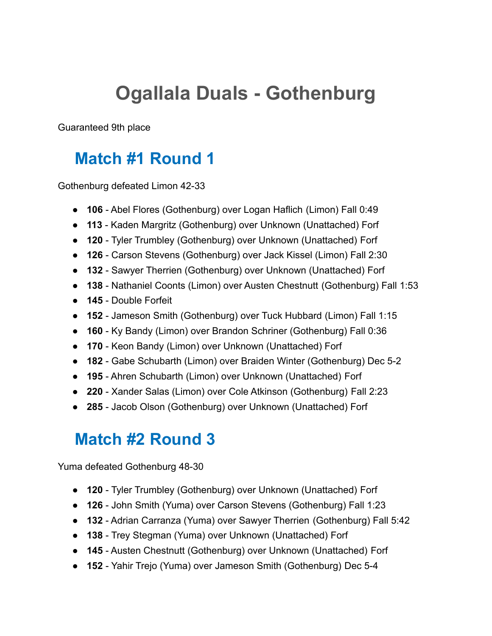# **Ogallala Duals - Gothenburg**

Guaranteed 9th place

#### **Match #1 Round 1**

Gothenburg defeated Limon 42-33

- **106** Abel Flores (Gothenburg) over Logan Haflich (Limon) Fall 0:49
- **113** Kaden Margritz (Gothenburg) over Unknown (Unattached) Forf
- **120** Tyler Trumbley (Gothenburg) over Unknown (Unattached) Forf
- **126** Carson Stevens (Gothenburg) over Jack Kissel (Limon) Fall 2:30
- **132** Sawyer Therrien (Gothenburg) over Unknown (Unattached) Forf
- **138** Nathaniel Coonts (Limon) over Austen Chestnutt (Gothenburg) Fall 1:53
- **145** Double Forfeit
- **152** Jameson Smith (Gothenburg) over Tuck Hubbard (Limon) Fall 1:15
- **160** Ky Bandy (Limon) over Brandon Schriner (Gothenburg) Fall 0:36
- **170** Keon Bandy (Limon) over Unknown (Unattached) Forf
- **182** Gabe Schubarth (Limon) over Braiden Winter (Gothenburg) Dec 5-2
- **195** Ahren Schubarth (Limon) over Unknown (Unattached) Forf
- **220** Xander Salas (Limon) over Cole Atkinson (Gothenburg) Fall 2:23
- **285** Jacob Olson (Gothenburg) over Unknown (Unattached) Forf

#### **Match #2 Round 3**

Yuma defeated Gothenburg 48-30

- **120** Tyler Trumbley (Gothenburg) over Unknown (Unattached) Forf
- **126** John Smith (Yuma) over Carson Stevens (Gothenburg) Fall 1:23
- **132** Adrian Carranza (Yuma) over Sawyer Therrien (Gothenburg) Fall 5:42
- **138** Trey Stegman (Yuma) over Unknown (Unattached) Forf
- **145** Austen Chestnutt (Gothenburg) over Unknown (Unattached) Forf
- **152** Yahir Trejo (Yuma) over Jameson Smith (Gothenburg) Dec 5-4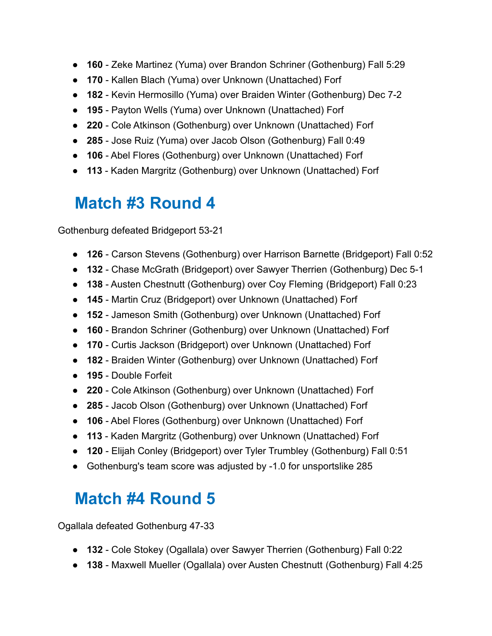- **160** Zeke Martinez (Yuma) over Brandon Schriner (Gothenburg) Fall 5:29
- **170** Kallen Blach (Yuma) over Unknown (Unattached) Forf
- **182** Kevin Hermosillo (Yuma) over Braiden Winter (Gothenburg) Dec 7-2
- **195** Payton Wells (Yuma) over Unknown (Unattached) Forf
- **220** Cole Atkinson (Gothenburg) over Unknown (Unattached) Forf
- **285** Jose Ruiz (Yuma) over Jacob Olson (Gothenburg) Fall 0:49
- **106** Abel Flores (Gothenburg) over Unknown (Unattached) Forf
- **113** Kaden Margritz (Gothenburg) over Unknown (Unattached) Forf

#### **Match #3 Round 4**

Gothenburg defeated Bridgeport 53-21

- **126** Carson Stevens (Gothenburg) over Harrison Barnette (Bridgeport) Fall 0:52
- **132** Chase McGrath (Bridgeport) over Sawyer Therrien (Gothenburg) Dec 5-1
- **138** Austen Chestnutt (Gothenburg) over Coy Fleming (Bridgeport) Fall 0:23
- **145** Martin Cruz (Bridgeport) over Unknown (Unattached) Forf
- **152** Jameson Smith (Gothenburg) over Unknown (Unattached) Forf
- **160** Brandon Schriner (Gothenburg) over Unknown (Unattached) Forf
- **170** Curtis Jackson (Bridgeport) over Unknown (Unattached) Forf
- **182** Braiden Winter (Gothenburg) over Unknown (Unattached) Forf
- **195** Double Forfeit
- **220** Cole Atkinson (Gothenburg) over Unknown (Unattached) Forf
- **285** Jacob Olson (Gothenburg) over Unknown (Unattached) Forf
- **106** Abel Flores (Gothenburg) over Unknown (Unattached) Forf
- **113** Kaden Margritz (Gothenburg) over Unknown (Unattached) Forf
- **120** Elijah Conley (Bridgeport) over Tyler Trumbley (Gothenburg) Fall 0:51
- Gothenburg's team score was adjusted by -1.0 for unsportslike 285

### **Match #4 Round 5**

Ogallala defeated Gothenburg 47-33

- **132** Cole Stokey (Ogallala) over Sawyer Therrien (Gothenburg) Fall 0:22
- **138** Maxwell Mueller (Ogallala) over Austen Chestnutt (Gothenburg) Fall 4:25